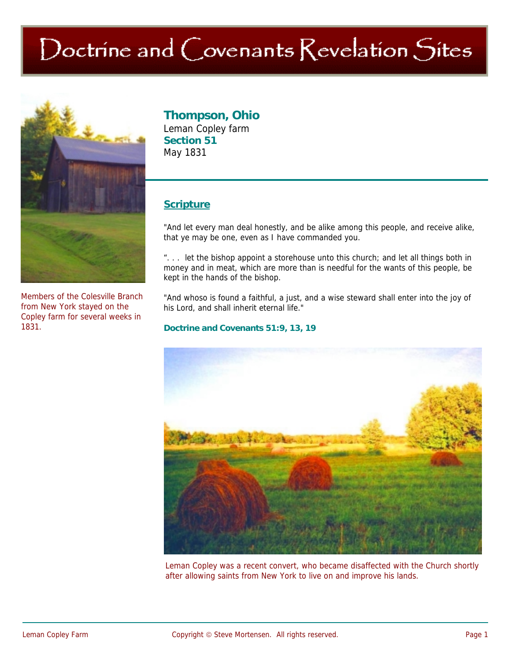# Doctrine and Covenants Revelation Sites



Members of the Colesville Branch from New York stayed on the Copley farm for several weeks in 1831.

# **Thompson, Ohio**

Leman Copley farm **Section 51**  May 1831

## **Scripture**

"And let every man deal honestly, and be alike among this people, and receive alike, that ye may be one, even as I have commanded you.

". . . let the bishop appoint a storehouse unto this church; and let all things both in money and in meat, which are more than is needful for the wants of this people, be kept in the hands of the bishop.

"And whoso is found a faithful, a just, and a wise steward shall enter into the joy of his Lord, and shall inherit eternal life."

#### **Doctrine and Covenants 51:9, 13, 19**



Leman Copley was a recent convert, who became disaffected with the Church shortly after allowing saints from New York to live on and improve his lands.